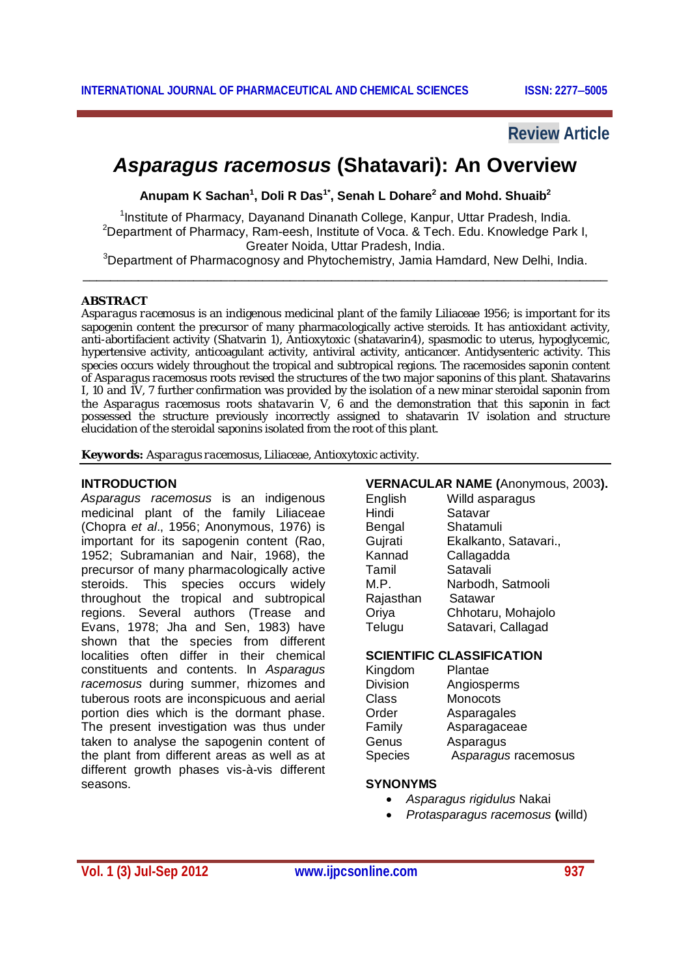## **Review Article**

# *Asparagus racemosus* **(Shatavari): An Overview**

**Anupam K Sachan<sup>1</sup> , Doli R Das1\* , Senah L Dohare<sup>2</sup> and Mohd. Shuaib<sup>2</sup>**

<sup>1</sup>Institute of Pharmacy, Dayanand Dinanath College, Kanpur, Uttar Pradesh, India. <sup>2</sup>Department of Pharmacy, Ram-eesh, Institute of Voca. & Tech. Edu. Knowledge Park I, Greater Noida, Uttar Pradesh, India.

<sup>3</sup>Department of Pharmacognosy and Phytochemistry, Jamia Hamdard, New Delhi, India. \_\_\_\_\_\_\_\_\_\_\_\_\_\_\_\_\_\_\_\_\_\_\_\_\_\_\_\_\_\_\_\_\_\_\_\_\_\_\_\_\_\_\_\_\_\_\_\_\_\_\_\_\_\_\_\_\_\_\_\_\_\_\_\_\_\_\_\_\_\_\_\_\_\_\_\_

#### **ABSTRACT**

*Asparagus racemosus* is an indigenous medicinal plant of the family Liliaceae 1956; is important for its sapogenin content the precursor of many pharmacologically active steroids. It has antioxidant activity, anti-abortifacient activity (Shatvarin 1), Antioxytoxic (shatavarin4), spasmodic to uterus, hypoglycemic, hypertensive activity, anticoagulant activity, antiviral activity, anticancer. Antidysenteric activity. This species occurs widely throughout the tropical and subtropical regions. The racemosides saponin content of *Asparagus racemosus* roots revised the structures of the two major saponins of this plant. Shatavarins I, 10 and 1V, 7 further confirmation was provided by the isolation of a new minar steroidal saponin from the *Asparagus racemosus* roots *shatavarin* V, 6 and the demonstration that this saponin in fact possessed the structure previously incorrectly assigned to shatavarin 1V isolation and structure elucidation of the steroidal saponins isolated from the root of this plant.

**Keywords:** *Asparagus racemosus,* Liliaceae, Antioxytoxic activity.

#### **INTRODUCTION**

*Asparagus racemosus* is an indigenous medicinal plant of the family Liliaceae (Chopra *et al*., 1956; Anonymous, 1976) is important for its sapogenin content (Rao, 1952; Subramanian and Nair, 1968), the precursor of many pharmacologically active steroids. This species occurs widely throughout the tropical and subtropical regions. Several authors (Trease and Evans, 1978; Jha and Sen, 1983) have shown that the species from different localities often differ in their chemical constituents and contents. In *Asparagus racemosus* during summer, rhizomes and tuberous roots are inconspicuous and aerial portion dies which is the dormant phase. The present investigation was thus under taken to analyse the sapogenin content of the plant from different areas as well as at different growth phases vis-à-vis different seasons.

#### **VERNACULAR NAME (**Anonymous, 2003**).**

|           | . <i>.</i> <del>.</del> |
|-----------|-------------------------|
| English   | Willd asparagus         |
| Hindi     | Satavar                 |
| Bengal    | Shatamuli               |
| Gujrati   | Ekalkanto, Satavari.,   |
| Kannad    | Callagadda              |
| Tamil     | Satavali                |
| M.P.      | Narbodh, Satmooli       |
| Rajasthan | Satawar                 |
| Oriya     | Chhotaru, Mohajolo      |
| Telugu    | Satavari, Callagad      |

#### **SCIENTIFIC CLASSIFICATION**

| Kingdom        | Plantae             |
|----------------|---------------------|
| Division       | Angiosperms         |
| Class          | Monocots            |
| Order          | Asparagales         |
| Family         | Asparagaceae        |
| Genus          | Asparagus           |
| <b>Species</b> | Asparagus racemosus |

#### **SYNONYMS**

- *Asparagus rigidulus* Nakai
- *Protasparagus racemosus* **(**willd)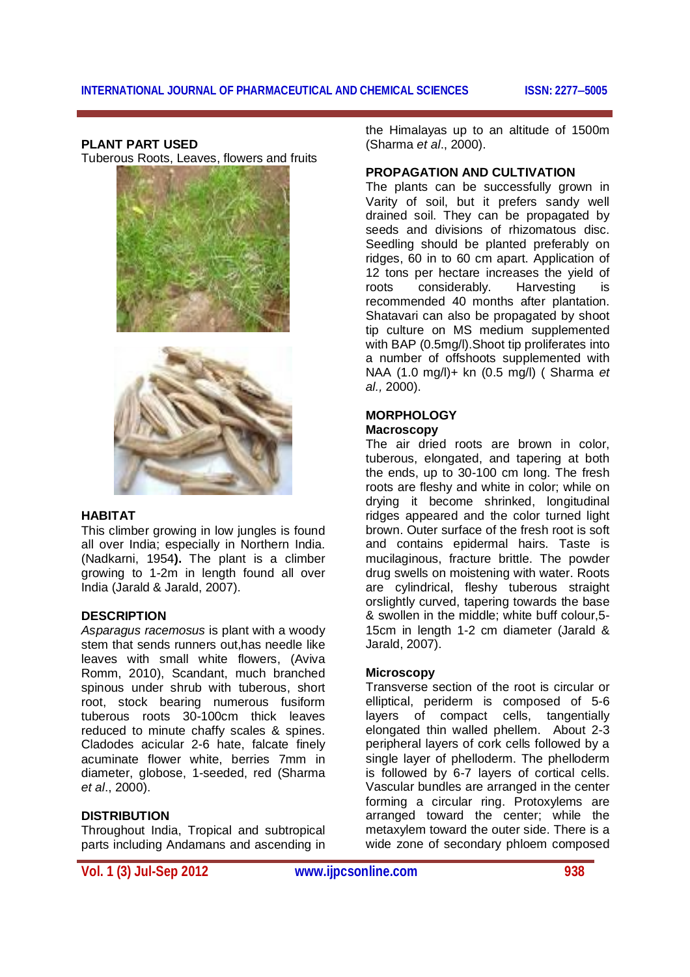### **PLANT PART USED**

Tuberous Roots, Leaves, flowers and fruits



#### **HABITAT**

This climber growing in low jungles is found all over India; especially in Northern India. (Nadkarni, 1954**).** The plant is a climber growing to 1-2m in length found all over India (Jarald & Jarald, 2007).

#### **DESCRIPTION**

*Asparagus racemosus* is plant with a woody stem that sends runners out has needle like leaves with small white flowers, (Aviva Romm, 2010), Scandant, much branched spinous under shrub with tuberous, short root, stock bearing numerous fusiform tuberous roots 30-100cm thick leaves reduced to minute chaffy scales & spines. Cladodes acicular 2-6 hate, falcate finely acuminate flower white, berries 7mm in diameter, globose, 1-seeded, red (Sharma *et al*., 2000).

#### **DISTRIBUTION**

Throughout India, Tropical and subtropical parts including Andamans and ascending in

the Himalayas up to an altitude of 1500m (Sharma *et al*., 2000).

#### **PROPAGATION AND CULTIVATION**

The plants can be successfully grown in Varity of soil, but it prefers sandy well drained soil. They can be propagated by seeds and divisions of rhizomatous disc. Seedling should be planted preferably on ridges, 60 in to 60 cm apart. Application of 12 tons per hectare increases the yield of roots considerably. Harvesting is recommended 40 months after plantation. Shatavari can also be propagated by shoot tip culture on MS medium supplemented with BAP (0.5mg/l).Shoot tip proliferates into a number of offshoots supplemented with NAA (1.0 mg/l)+ kn (0.5 mg/l) ( Sharma *et al.,* 2000).

#### **MORPHOLOGY Macroscopy**

The air dried roots are brown in color, tuberous, elongated, and tapering at both the ends, up to 30-100 cm long. The fresh roots are fleshy and white in color; while on drying it become shrinked, longitudinal ridges appeared and the color turned light brown. Outer surface of the fresh root is soft and contains epidermal hairs. Taste is mucilaginous, fracture brittle. The powder drug swells on moistening with water. Roots are cylindrical, fleshy tuberous straight orslightly curved, tapering towards the base & swollen in the middle; white buff colour,5- 15cm in length 1-2 cm diameter (Jarald & Jarald, 2007).

#### **Microscopy**

Transverse section of the root is circular or elliptical, periderm is composed of 5-6 layers of compact cells, tangentially elongated thin walled phellem. About 2-3 peripheral layers of cork cells followed by a single layer of phelloderm. The phelloderm is followed by 6-7 layers of cortical cells. Vascular bundles are arranged in the center forming a circular ring. Protoxylems are arranged toward the center; while the metaxylem toward the outer side. There is a wide zone of secondary phloem composed

**Vol. 1 (3) Jul-Sep 2012 www.ijpcsonline.com 938**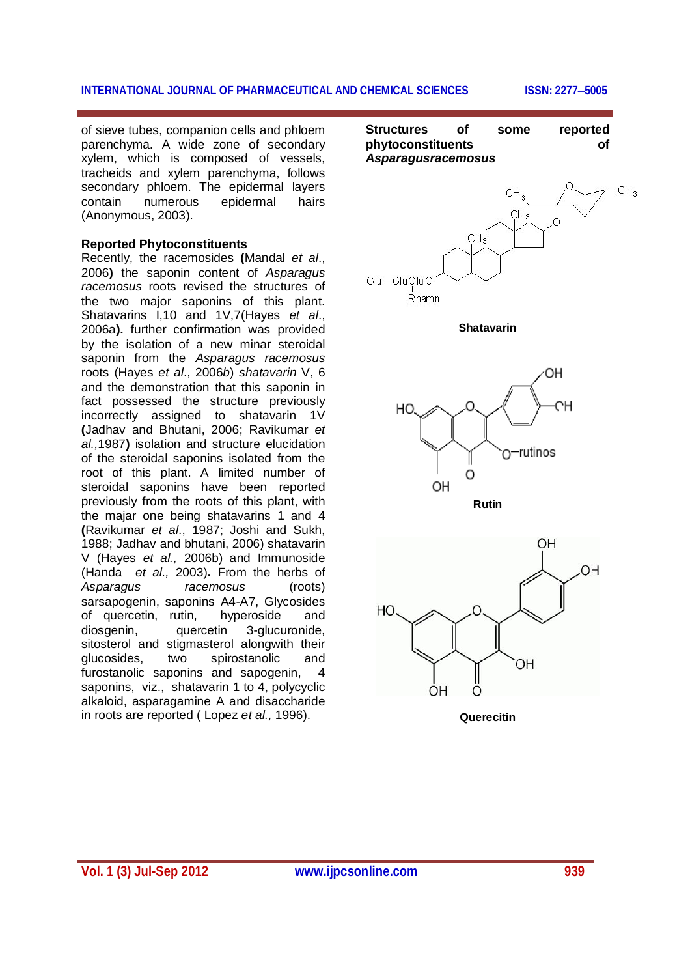#### **INTERNATIONAL JOURNAL OF PHARMACEUTICAL AND CHEMICAL SCIENCES ISSN: 22775005**

of sieve tubes, companion cells and phloem parenchyma. A wide zone of secondary xylem, which is composed of vessels, tracheids and xylem parenchyma, follows secondary phloem. The epidermal layers contain numerous epidermal hairs (Anonymous, 2003).

#### **Reported Phytoconstituents**

Recently, the racemosides **(**Mandal *et al*., 2006**)** the saponin content of *Asparagus racemosus* roots revised the structures of the two major saponins of this plant. Shatavarins I,10 and 1V,7(Hayes *et al*., 2006a**).** further confirmation was provided by the isolation of a new minar steroidal saponin from the *Asparagus racemosus* roots (Hayes *et al*., 2006*b*) *shatavarin* V, 6 and the demonstration that this saponin in fact possessed the structure previously incorrectly assigned to shatavarin 1V **(**Jadhav and Bhutani, 2006; Ravikumar *et al.,*1987**)** isolation and structure elucidation of the steroidal saponins isolated from the root of this plant. A limited number of steroidal saponins have been reported previously from the roots of this plant, with the majar one being shatavarins 1 and 4 **(**Ravikumar *et al*., 1987; Joshi and Sukh, 1988; Jadhav and bhutani, 2006) shatavarin V (Hayes *et al.,* 2006b) and Immunoside (Handa *et al.,* 2003)**.** From the herbs of *Asparagus racemosus* (roots) sarsapogenin, saponins A4-A7, Glycosides of quercetin, rutin, hyperoside and diosgenin, quercetin 3-glucuronide, sitosterol and stigmasterol alongwith their glucosides, two spirostanolic and furostanolic saponins and sapogenin, 4 saponins, viz., shatavarin 1 to 4, polycyclic alkaloid, asparagamine A and disaccharide in roots are reported ( Lopez *et al.,* 1996).

**Structures of some reported phytoconstituents of**  *Asparagusracemosus*



**Shatavarin**



**Rutin**



**Querecitin**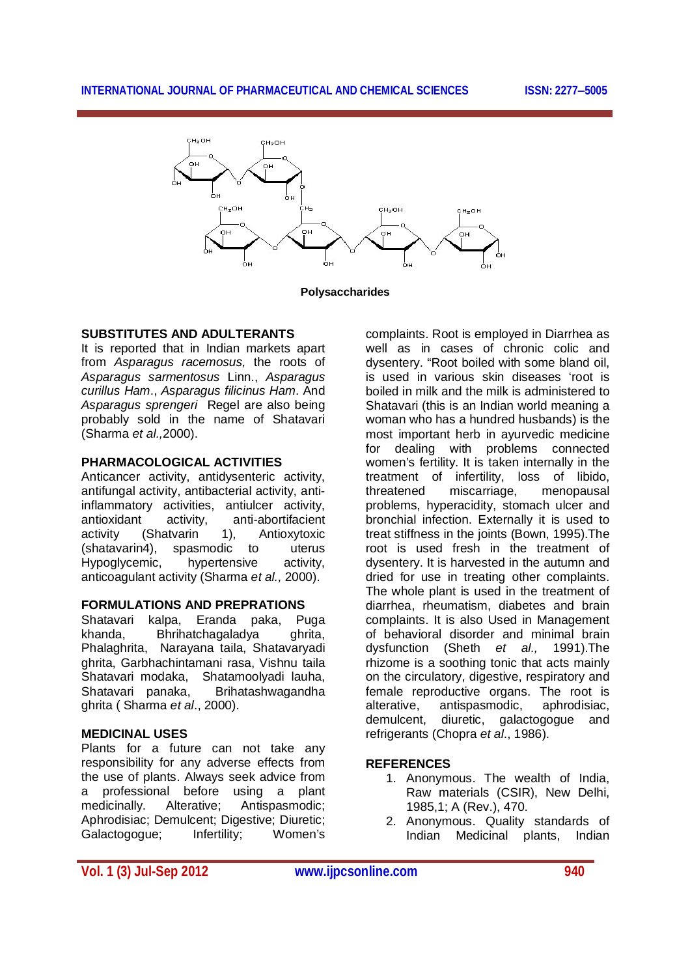#### **INTERNATIONAL JOURNAL OF PHARMACEUTICAL AND CHEMICAL SCIENCES ISSN: 22775005**



**Polysaccharides**

#### **SUBSTITUTES AND ADULTERANTS**

It is reported that in Indian markets apart from *Asparagus racemosus,* the roots of *Asparagus sarmentosus* Linn., *Asparagus curillus Ham*., *Asparagus filicinus Ham*. And *Asparagus sprengeri* Regel are also being probably sold in the name of Shatavari (Sharma *et al.,*2000).

#### **PHARMACOLOGICAL ACTIVITIES**

Anticancer activity, antidysenteric activity, antifungal activity, antibacterial activity, antiinflammatory activities, antiulcer activity, antioxidant activity, anti-abortifacient activity (Shatvarin 1), Antioxytoxic (shatavarin4), spasmodic to uterus Hypoglycemic, hypertensive activity, anticoagulant activity (Sharma *et al.,* 2000).

#### **FORMULATIONS AND PREPRATIONS**

Shatavari kalpa, Eranda paka, Puga khanda, Bhrihatchagaladya ghrita, Phalaghrita, Narayana taila, Shatavaryadi ghrita, Garbhachintamani rasa, Vishnu taila Shatavari modaka, Shatamoolyadi lauha, Shatavari panaka, Brihatashwagandha ghrita ( Sharma *et al*., 2000).

#### **MEDICINAL USES**

Plants for a future can not take any responsibility for any adverse effects from the use of plants. Always seek advice from a professional before using a plant medicinally. Alterative; Antispasmodic; Aphrodisiac: Demulcent: Digestive: Diuretic: Galactogogue; Infertility; Women's

complaints. Root is employed in Diarrhea as well as in cases of chronic colic and dysentery. "Root boiled with some bland oil, is used in various skin diseases 'root is boiled in milk and the milk is administered to Shatavari (this is an Indian world meaning a woman who has a hundred husbands) is the most important herb in ayurvedic medicine for dealing with problems connected women's fertility. It is taken internally in the treatment of infertility, loss of libido, threatened miscarriage, menopausal problems, hyperacidity, stomach ulcer and bronchial infection. Externally it is used to treat stiffness in the joints (Bown, 1995).The root is used fresh in the treatment of dysentery. It is harvested in the autumn and dried for use in treating other complaints. The whole plant is used in the treatment of diarrhea, rheumatism, diabetes and brain complaints. It is also Used in Management of behavioral disorder and minimal brain dysfunction (Sheth *et al.,* 1991).The rhizome is a soothing tonic that acts mainly on the circulatory, digestive, respiratory and female reproductive organs. The root is alterative, antispasmodic, aphrodisiac, demulcent, diuretic, galactogogue and refrigerants (Chopra *et al*., 1986).

#### **REFERENCES**

- 1. Anonymous. The wealth of India, Raw materials (CSIR), New Delhi, 1985,1; A (Rev.), 470.
- 2. Anonymous. Quality standards of Indian Medicinal plants, Indian